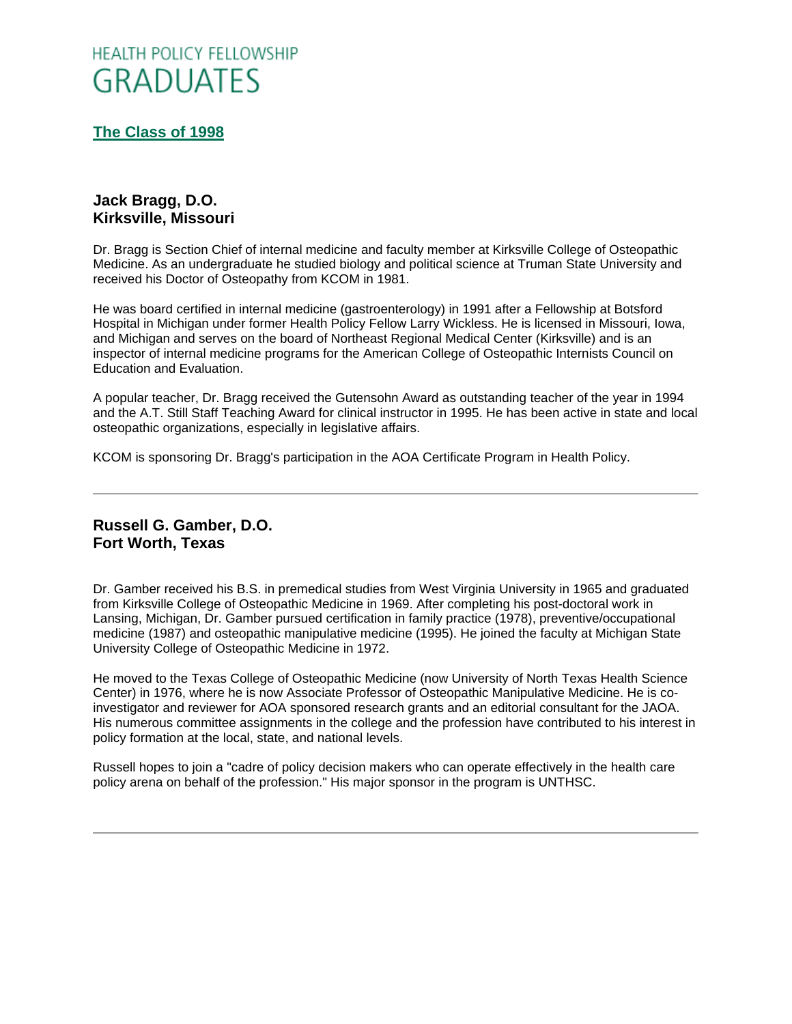# **HEALTH POLICY FELLOWSHIP GRADUATES**

**[The Class of 1998](http://www.oucom.ohiou.edu/hpf/Graduates2012.htm)**

## **Jack Bragg, D.O. Kirksville, Missouri**

Dr. Bragg is Section Chief of internal medicine and faculty member at Kirksville College of Osteopathic Medicine. As an undergraduate he studied biology and political science at Truman State University and received his Doctor of Osteopathy from KCOM in 1981.

He was board certified in internal medicine (gastroenterology) in 1991 after a Fellowship at Botsford Hospital in Michigan under former Health Policy Fellow Larry Wickless. He is licensed in Missouri, Iowa, and Michigan and serves on the board of Northeast Regional Medical Center (Kirksville) and is an inspector of internal medicine programs for the American College of Osteopathic Internists Council on Education and Evaluation.

A popular teacher, Dr. Bragg received the Gutensohn Award as outstanding teacher of the year in 1994 and the A.T. Still Staff Teaching Award for clinical instructor in 1995. He has been active in state and local osteopathic organizations, especially in legislative affairs.

KCOM is sponsoring Dr. Bragg's participation in the AOA Certificate Program in Health Policy.

## **Russell G. Gamber, D.O. Fort Worth, Texas**

Dr. Gamber received his B.S. in premedical studies from West Virginia University in 1965 and graduated from Kirksville College of Osteopathic Medicine in 1969. After completing his post-doctoral work in Lansing, Michigan, Dr. Gamber pursued certification in family practice (1978), preventive/occupational medicine (1987) and osteopathic manipulative medicine (1995). He joined the faculty at Michigan State University College of Osteopathic Medicine in 1972.

He moved to the Texas College of Osteopathic Medicine (now University of North Texas Health Science Center) in 1976, where he is now Associate Professor of Osteopathic Manipulative Medicine. He is coinvestigator and reviewer for AOA sponsored research grants and an editorial consultant for the JAOA. His numerous committee assignments in the college and the profession have contributed to his interest in policy formation at the local, state, and national levels.

Russell hopes to join a "cadre of policy decision makers who can operate effectively in the health care policy arena on behalf of the profession." His major sponsor in the program is UNTHSC.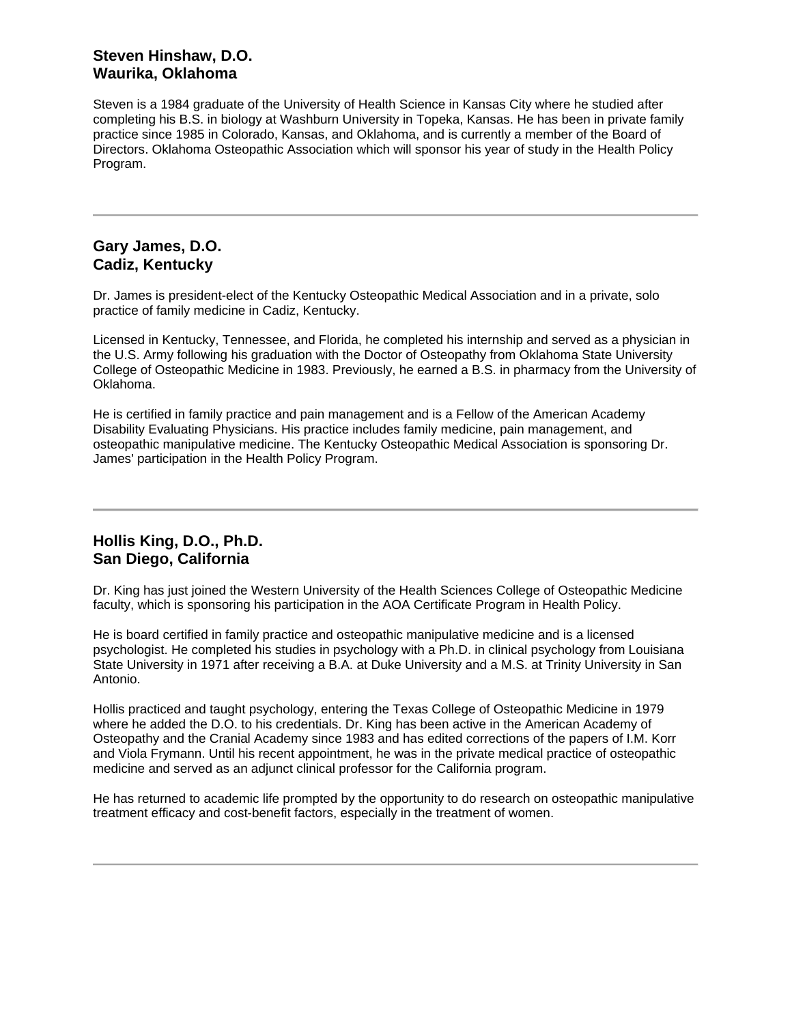## **Steven Hinshaw, D.O. Waurika, Oklahoma**

Steven is a 1984 graduate of the University of Health Science in Kansas City where he studied after completing his B.S. in biology at Washburn University in Topeka, Kansas. He has been in private family practice since 1985 in Colorado, Kansas, and Oklahoma, and is currently a member of the Board of Directors. Oklahoma Osteopathic Association which will sponsor his year of study in the Health Policy Program.

#### **Gary James, D.O. Cadiz, Kentucky**

Dr. James is president-elect of the Kentucky Osteopathic Medical Association and in a private, solo practice of family medicine in Cadiz, Kentucky.

Licensed in Kentucky, Tennessee, and Florida, he completed his internship and served as a physician in the U.S. Army following his graduation with the Doctor of Osteopathy from Oklahoma State University College of Osteopathic Medicine in 1983. Previously, he earned a B.S. in pharmacy from the University of Oklahoma.

He is certified in family practice and pain management and is a Fellow of the American Academy Disability Evaluating Physicians. His practice includes family medicine, pain management, and osteopathic manipulative medicine. The Kentucky Osteopathic Medical Association is sponsoring Dr. James' participation in the Health Policy Program.

### **Hollis King, D.O., Ph.D. San Diego, California**

Dr. King has just joined the Western University of the Health Sciences College of Osteopathic Medicine faculty, which is sponsoring his participation in the AOA Certificate Program in Health Policy.

He is board certified in family practice and osteopathic manipulative medicine and is a licensed psychologist. He completed his studies in psychology with a Ph.D. in clinical psychology from Louisiana State University in 1971 after receiving a B.A. at Duke University and a M.S. at Trinity University in San Antonio.

Hollis practiced and taught psychology, entering the Texas College of Osteopathic Medicine in 1979 where he added the D.O. to his credentials. Dr. King has been active in the American Academy of Osteopathy and the Cranial Academy since 1983 and has edited corrections of the papers of I.M. Korr and Viola Frymann. Until his recent appointment, he was in the private medical practice of osteopathic medicine and served as an adjunct clinical professor for the California program.

He has returned to academic life prompted by the opportunity to do research on osteopathic manipulative treatment efficacy and cost-benefit factors, especially in the treatment of women.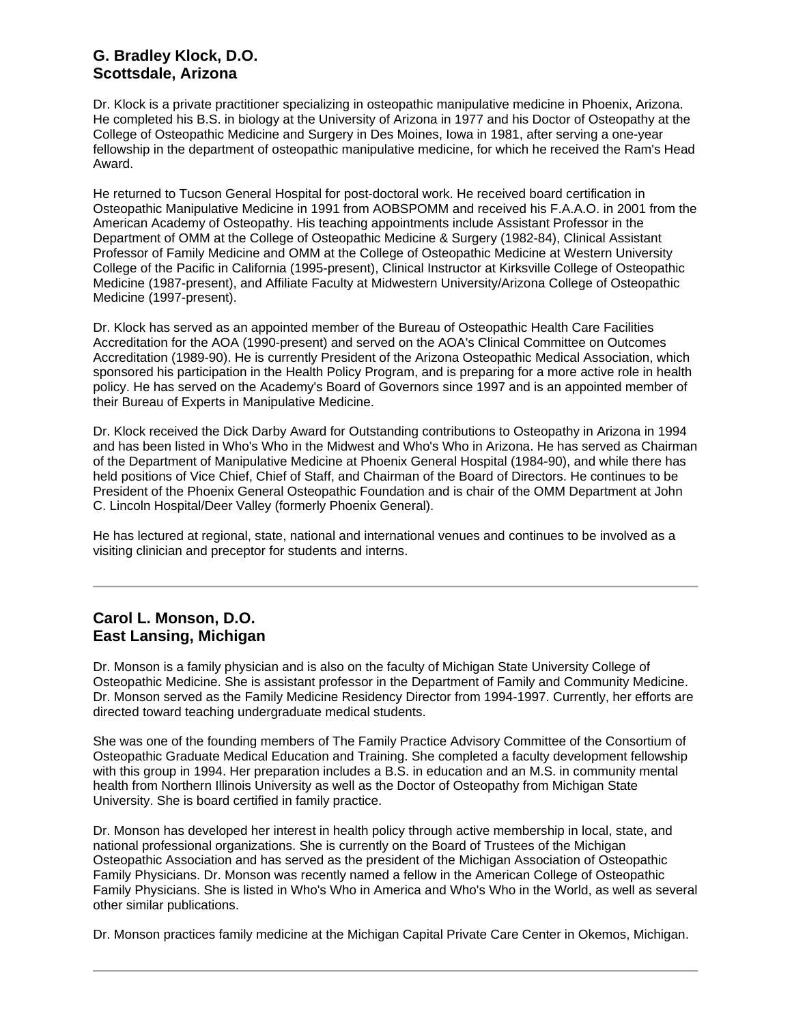## **G. Bradley Klock, D.O. Scottsdale, Arizona**

Dr. Klock is a private practitioner specializing in osteopathic manipulative medicine in Phoenix, Arizona. He completed his B.S. in biology at the University of Arizona in 1977 and his Doctor of Osteopathy at the College of Osteopathic Medicine and Surgery in Des Moines, Iowa in 1981, after serving a one-year fellowship in the department of osteopathic manipulative medicine, for which he received the Ram's Head Award.

He returned to Tucson General Hospital for post-doctoral work. He received board certification in Osteopathic Manipulative Medicine in 1991 from AOBSPOMM and received his F.A.A.O. in 2001 from the American Academy of Osteopathy. His teaching appointments include Assistant Professor in the Department of OMM at the College of Osteopathic Medicine & Surgery (1982-84), Clinical Assistant Professor of Family Medicine and OMM at the College of Osteopathic Medicine at Western University College of the Pacific in California (1995-present), Clinical Instructor at Kirksville College of Osteopathic Medicine (1987-present), and Affiliate Faculty at Midwestern University/Arizona College of Osteopathic Medicine (1997-present).

Dr. Klock has served as an appointed member of the Bureau of Osteopathic Health Care Facilities Accreditation for the AOA (1990-present) and served on the AOA's Clinical Committee on Outcomes Accreditation (1989-90). He is currently President of the Arizona Osteopathic Medical Association, which sponsored his participation in the Health Policy Program, and is preparing for a more active role in health policy. He has served on the Academy's Board of Governors since 1997 and is an appointed member of their Bureau of Experts in Manipulative Medicine.

Dr. Klock received the Dick Darby Award for Outstanding contributions to Osteopathy in Arizona in 1994 and has been listed in Who's Who in the Midwest and Who's Who in Arizona. He has served as Chairman of the Department of Manipulative Medicine at Phoenix General Hospital (1984-90), and while there has held positions of Vice Chief, Chief of Staff, and Chairman of the Board of Directors. He continues to be President of the Phoenix General Osteopathic Foundation and is chair of the OMM Department at John C. Lincoln Hospital/Deer Valley (formerly Phoenix General).

He has lectured at regional, state, national and international venues and continues to be involved as a visiting clinician and preceptor for students and interns.

#### **Carol L. Monson, D.O. East Lansing, Michigan**

Dr. Monson is a family physician and is also on the faculty of Michigan State University College of Osteopathic Medicine. She is assistant professor in the Department of Family and Community Medicine. Dr. Monson served as the Family Medicine Residency Director from 1994-1997. Currently, her efforts are directed toward teaching undergraduate medical students.

She was one of the founding members of The Family Practice Advisory Committee of the Consortium of Osteopathic Graduate Medical Education and Training. She completed a faculty development fellowship with this group in 1994. Her preparation includes a B.S. in education and an M.S. in community mental health from Northern Illinois University as well as the Doctor of Osteopathy from Michigan State University. She is board certified in family practice.

Dr. Monson has developed her interest in health policy through active membership in local, state, and national professional organizations. She is currently on the Board of Trustees of the Michigan Osteopathic Association and has served as the president of the Michigan Association of Osteopathic Family Physicians. Dr. Monson was recently named a fellow in the American College of Osteopathic Family Physicians. She is listed in Who's Who in America and Who's Who in the World, as well as several other similar publications.

Dr. Monson practices family medicine at the Michigan Capital Private Care Center in Okemos, Michigan.